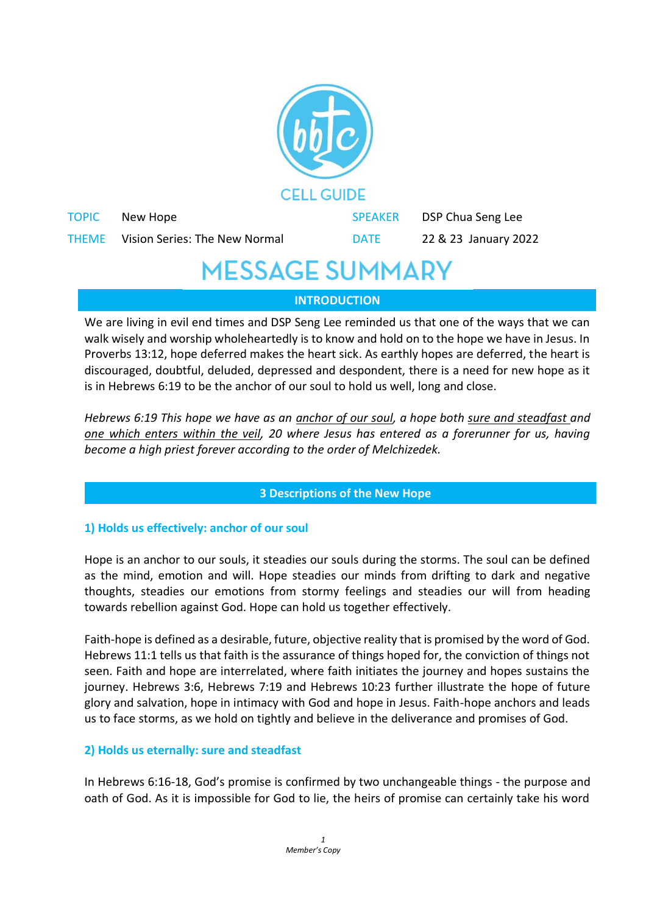

## **INTRODUCTION**

We are living in evil end times and DSP Seng Lee reminded us that one of the ways that we can walk wisely and worship wholeheartedly is to know and hold on to the hope we have in Jesus. In Proverbs 13:12, hope deferred makes the heart sick. As earthly hopes are deferred, the heart is discouraged, doubtful, deluded, depressed and despondent, there is a need for new hope as it is in Hebrews 6:19 to be the anchor of our soul to hold us well, long and close.

*Hebrews 6:19 This hope we have as an anchor of our soul, a hope both sure and steadfast and one which enters within the veil, 20 where Jesus has entered as a forerunner for us, having become a high priest forever according to the order of Melchizedek.*

#### **3 Descriptions of the New Hope**

## **1) Holds us effectively: anchor of our soul**

Hope is an anchor to our souls, it steadies our souls during the storms. The soul can be defined as the mind, emotion and will. Hope steadies our minds from drifting to dark and negative thoughts, steadies our emotions from stormy feelings and steadies our will from heading towards rebellion against God. Hope can hold us together effectively.

Faith-hope is defined as a desirable, future, objective reality that is promised by the word of God. Hebrews 11:1 tells us that faith is the assurance of things hoped for, the conviction of things not seen. Faith and hope are interrelated, where faith initiates the journey and hopes sustains the journey. Hebrews 3:6, Hebrews 7:19 and Hebrews 10:23 further illustrate the hope of future glory and salvation, hope in intimacy with God and hope in Jesus. Faith-hope anchors and leads us to face storms, as we hold on tightly and believe in the deliverance and promises of God.

#### **2) Holds us eternally: sure and steadfast**

In Hebrews 6:16-18, God's promise is confirmed by two unchangeable things - the purpose and oath of God. As it is impossible for God to lie, the heirs of promise can certainly take his word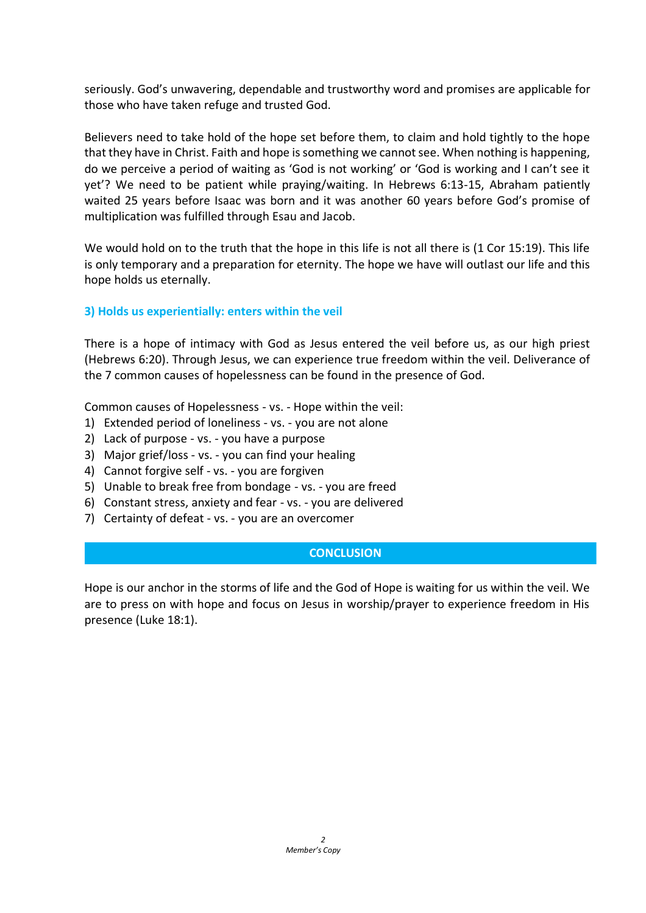seriously. God's unwavering, dependable and trustworthy word and promises are applicable for those who have taken refuge and trusted God.

Believers need to take hold of the hope set before them, to claim and hold tightly to the hope that they have in Christ. Faith and hope is something we cannot see. When nothing is happening, do we perceive a period of waiting as 'God is not working' or 'God is working and I can't see it yet'? We need to be patient while praying/waiting. In Hebrews 6:13-15, Abraham patiently waited 25 years before Isaac was born and it was another 60 years before God's promise of multiplication was fulfilled through Esau and Jacob.

We would hold on to the truth that the hope in this life is not all there is (1 Cor 15:19). This life is only temporary and a preparation for eternity. The hope we have will outlast our life and this hope holds us eternally.

### **3) Holds us experientially: enters within the veil**

There is a hope of intimacy with God as Jesus entered the veil before us, as our high priest (Hebrews 6:20). Through Jesus, we can experience true freedom within the veil. Deliverance of the 7 common causes of hopelessness can be found in the presence of God.

Common causes of Hopelessness - vs. - Hope within the veil:

- 1) Extended period of loneliness vs. you are not alone
- 2) Lack of purpose vs. you have a purpose
- 3) Major grief/loss vs. you can find your healing
- 4) Cannot forgive self vs. you are forgiven
- 5) Unable to break free from bondage vs. you are freed
- 6) Constant stress, anxiety and fear vs. you are delivered
- 7) Certainty of defeat vs. you are an overcomer

#### **CONCLUSION**

Hope is our anchor in the storms of life and the God of Hope is waiting for us within the veil. We are to press on with hope and focus on Jesus in worship/prayer to experience freedom in His presence (Luke 18:1).